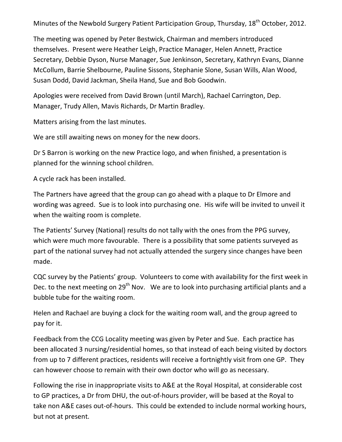Minutes of the Newbold Surgery Patient Participation Group, Thursday, 18<sup>th</sup> October, 2012.

The meeting was opened by Peter Bestwick, Chairman and members introduced themselves. Present were Heather Leigh, Practice Manager, Helen Annett, Practice Secretary, Debbie Dyson, Nurse Manager, Sue Jenkinson, Secretary, Kathryn Evans, Dianne McCollum, Barrie Shelbourne, Pauline Sissons, Stephanie Slone, Susan Wills, Alan Wood, Susan Dodd, David Jackman, Sheila Hand, Sue and Bob Goodwin.

Apologies were received from David Brown (until March), Rachael Carrington, Dep. Manager, Trudy Allen, Mavis Richards, Dr Martin Bradley.

Matters arising from the last minutes.

We are still awaiting news on money for the new doors.

Dr S Barron is working on the new Practice logo, and when finished, a presentation is planned for the winning school children.

A cycle rack has been installed.

The Partners have agreed that the group can go ahead with a plaque to Dr Elmore and wording was agreed. Sue is to look into purchasing one. His wife will be invited to unveil it when the waiting room is complete.

The Patients' Survey (National) results do not tally with the ones from the PPG survey, which were much more favourable. There is a possibility that some patients surveyed as part of the national survey had not actually attended the surgery since changes have been made.

CQC survey by the Patients' group. Volunteers to come with availability for the first week in Dec. to the next meeting on 29<sup>th</sup> Nov. We are to look into purchasing artificial plants and a bubble tube for the waiting room.

Helen and Rachael are buying a clock for the waiting room wall, and the group agreed to pay for it.

Feedback from the CCG Locality meeting was given by Peter and Sue. Each practice has been allocated 3 nursing/residential homes, so that instead of each being visited by doctors from up to 7 different practices, residents will receive a fortnightly visit from one GP. They can however choose to remain with their own doctor who will go as necessary.

Following the rise in inappropriate visits to A&E at the Royal Hospital, at considerable cost to GP practices, a Dr from DHU, the out-of-hours provider, will be based at the Royal to take non A&E cases out-of-hours. This could be extended to include normal working hours, but not at present.